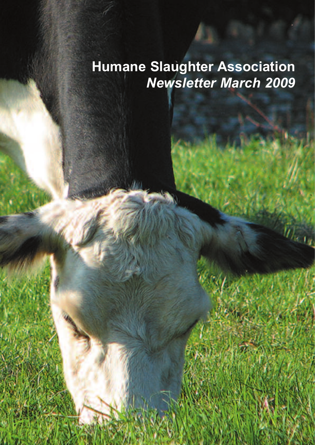# **Humane Slaughter Association** *Newsletter March 2009*

 $\hat{y}_{\mathbf{k},\mathbf{t}_k}$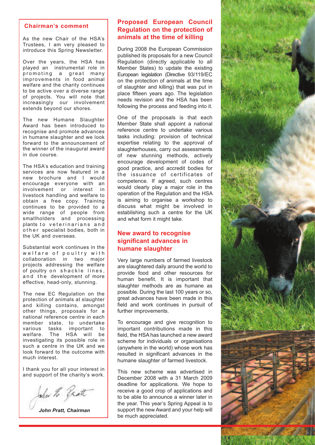#### **Chairman's comment**

As the new Chair of the HSA's Trustees, I am very pleased to introduce this Spring Newsletter.

Over the years, the HSA has played an instrumental role in promoting a great many improvements in food animal welfare and the charity continues to be active over a diverse range of projects. You will note that increasingly our involvement extends beyond our shores.

The new Humane Slaughter Award has been introduced to recognise and promote advances in humane slaughter and we look forward to the announcement of the winner of the inaugural award in due course.

The HSA's education and training services are now featured in a new brochure and I would encourage everyone with an involvement or interest in livestock handling and welfare to obtain a free copy. Training continues to be provided to a wide range of people from smallholders and processing plants to veterinarians and o the r specialist bodies, both in the UK and overseas.

Substantial work continues in the welfare of poultry with collaboration in two major projects addressing the welfare of poultry on shackle lines, and the development of more effective, head-only, stunning.

The new EC Regulation on the protection of animals at slaughter and killing contains, amongst other things, proposals for a national reference centre in each member state, to undertake various tasks important to welfare. The HSA will be investigating its possible role in such a centre in the UK and we look forward to the outcome with much interest.

I thank you for all your interest in and support of the charity's work.

John H. Pratt

*John Pratt, Chairman*

## **Proposed European Council Regulation on the protection of animals at the time of killing**

During 2008 the European Commission published its proposals for a new Council Regulation (directly applicable to all Member States) to update the existing European legislation (Directive 93/119/EC on the protection of animals at the time of slaughter and killing) that was put in place fifteen years ago. The legislation needs revision and the HSA has been following the process and feeding into it.

One of the proposals is that each Member State shall appoint a national reference centre to undertake various tasks including: provision of technical expertise relating to the approval of slaughterhouses, carry out assessments of new stunning methods, actively encourage development of codes of good practice, and accredit bodies for the issuance of certificates of competence. If agreed, such centres would clearly play a major role in the operation of the Regulation and the HSA is aiming to organise a workshop to discuss what might be involved in establishing such a centre for the UK and what form it might take.

## **New award to recognise significant advances in humane slaughter**

Very large numbers of farmed livestock are slaughtered daily around the world to provide food and other resources for human benefit. It is important that slaughter methods are as humane as possible. During the last 100 years or so, great advances have been made in this field and work continues in pursuit of further improvements.

To encourage and give recognition to important contributions made in this field, the HSA has launched a new award scheme for individuals or organisations (anywhere in the world) whose work has resulted in significant advances in the humane slaughter of farmed livestock.

This new scheme was advertised in December 2008 with a 31 March 2009 deadline for applications. We hope to receive a good crop of applications and to be able to announce a winner later in the year. This year's Spring Appeal is to support the new Award and your help will be much appreciated.

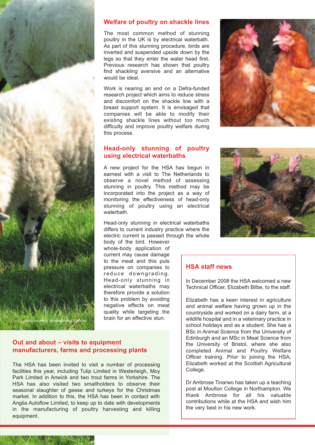

#### **Welfare of poultry on shackle lines**

The most common method of stunning poultry in the UK is by electrical waterbath. As part of this stunning procedure, birds are inverted and suspended upside down by the legs so that they enter the water head first. Previous research has shown that poultry find shackling aversive and an alternative would be ideal.

Work is nearing an end on a Defra-funded research project which aims to reduce stress and discomfort on the shackle line with a breast support system. It is envisaged that companies will be able to modify their existing shackle lines without too much difficulty and improve poultry welfare during this process.

## **Head-only stunning of poultry using electrical waterbaths**

A new project for the HSA has begun in earnest with a visit to The Netherlands to observe a novel method of assessing stunning in poultry. This method may be incorporated into the project as a way of monitoring the effectiveness of head-only stunning of poultry using an electrical waterbath.

Head-only stunning in electrical waterbaths differs to current industry practice where the electric current is passed through the whole

body of the bird. However whole-body application of current may cause damage to the meat and this puts pressure on companies to reduce downgrading. Head-only stunning in electrical waterbaths may therefore provide a solution to this problem by avoiding negative effects on meat quality while targeting the brain for an effective stun.



## **HSA staff news**

In December 2008 the HSA welcomed a new Technical Officer, Elizabeth Bilbe, to the staff.

Elizabeth has a keen interest in agriculture and animal welfare having grown up in the countryside and worked on a dairy farm, at a wildlife hospital and in a veterinary practice in school holidays and as a student. She has a BSc in Animal Science from the University of Edinburgh and an MSc in Meat Science from the University of Bristol, where she also completed Animal and Poultry Welfare Officer training. Prior to joining the HSA, Elizabeth worked at the Scottish Agricultural College.

Dr Ambrose Tinarwo has taken up a teaching post at Moulton College in Northampton. We thank Ambrose for all his valuable contributions while at the HSA and wish him the very best in his new work.

#### **Out and about – visits to equipment manufacturers, farms and processing plants**

The HSA has been invited to visit a number of processing facilities this year, including Tulip Limited in Westerleigh, Moy Park Limited in Anwick and two trout farms in Yorkshire. The HSA has also visited two smallholders to observe their seasonal slaughter of geese and turkeys for the Christmas market. In addition to this, the HSA has been in contact with Anglia Autoflow Limited, to keep up to date with developments in the manufacturing of poultry harvesting and killing equipment.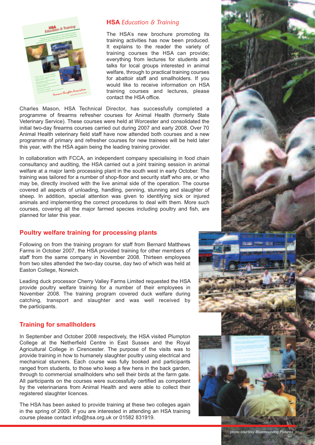

## **HSA** *Education & Training*

The HSA's new brochure promoting its training activities has now been produced. It explains to the reader the variety of training courses the HSA can provide; everything from lectures for students and talks for local groups interested in animal welfare, through to practical training courses for abattoir staff and smallholders. If you would like to receive information on HSA training courses and lectures, please contact the HSA office.

Charles Mason, HSA Technical Director, has successfully completed a programme of firearms refresher courses for Animal Health (formerly State Veterinary Service). These courses were held at Worcester and consolidated the initial two-day firearms courses carried out during 2007 and early 2008. Over 70 Animal Health veterinary field staff have now attended both courses and a new programme of primary and refresher courses for new trainees will be held later this year, with the HSA again being the leading training provider.

In collaboration with FCCA, an independent company specialising in food chain consultancy and auditing, the HSA carried out a joint training session in animal welfare at a major lamb processing plant in the south west in early October. The training was tailored for a number of shop-floor and security staff who are, or who may be, directly involved with the live animal side of the operation. The course covered all aspects of unloading, handling, penning, stunning and slaughter of sheep. In addition, special attention was given to identifying sick or injured animals and implementing the correct procedures to deal with them. More such courses, covering all the major farmed species including poultry and fish, are planned for later this year.

## **Poultry welfare training for processing plants**

Following on from the training program for staff from Bernard Matthews Farms in October 2007, the HSA provided training for other members of staff from the same company in November 2008. Thirteen employees from two sites attended the two-day course, day two of which was held at Easton College, Norwich.

Leading duck processor Cherry Valley Farms Limited requested the HSA provide poultry welfare training for a number of their employees in November 2008. The training program covered duck welfare during catching, transport and slaughter and was well received by the participants.

## **Training for smallholders**

In September and October 2008 respectively, the HSA visited Plumpton College at the Netherfield Centre in East Sussex and the Royal Agricultural College in Cirencester. The purpose of the visits was to provide training in how to humanely slaughter poultry using electrical and mechanical stunners. Each course was fully booked and participants ranged from students, to those who keep a few hens in the back garden, through to commercial smallholders who sell their birds at the farm gate. All participants on the courses were successfully certified as competent by the veterinarians from Animal Health and were able to collect their registered slaughter licences.

The HSA has been asked to provide training at these two colleges again in the spring of 2009. If you are interested in attending an HSA training course please contact info@hsa.org.uk or 01582 831919.



*photo courtesy Bluemoondog Pictures*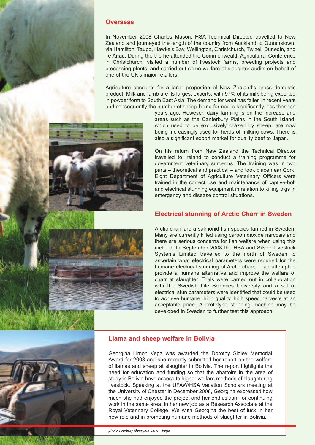

#### **Overseas**

In November 2008 Charles Mason, HSA Technical Director, travelled to New Zealand and journeyed the length of the country from Auckland to Queenstown, via Hamilton, Taupo, Hawke's Bay, Wellington, Christchurch, Twizel, Dunedin, and Te Anau. During the trip he attended the Commonwealth Agricultural Conference in Christchurch, visited a number of livestock farms, breeding projects and processing plants, and carried out some welfare-at-slaughter audits on behalf of one of the UK's major retailers.

Agriculture accounts for a large proportion of New Zealand's gross domestic product. Milk and lamb are its largest exports, with 97% of its milk being exported in powder form to South East Asia. The demand for wool has fallen in recent years and consequently the number of sheep being farmed is significantly less than ten



years ago. However, dairy farming is on the increase and areas such as the Canterbury Plains in the South Island, which used to be exclusively grazed by sheep, are now being increasingly used for herds of milking cows. There is also a significant export market for quality beef to Japan.

On his return from New Zealand the Technical Director travelled to Ireland to conduct a training programme for government veterinary surgeons. The training was in two parts – theoretical and practical – and took place near Cork. Eight Department of Agriculture Veterinary Officers were trained in the correct use and maintenance of captive-bolt and electrical stunning equipment in relation to killing pigs in emergency and disease control situations.

#### **Electrical stunning of Arctic Charr in Sweden**

Arctic charr are a salmonid fish species farmed in Sweden. Many are currently killed using carbon dioxide narcosis and there are serious concerns for fish welfare when using this method. In September 2008 the HSA and Silsoe Livestock Systems Limited travelled to the north of Sweden to ascertain what electrical parameters were required for the humane electrical stunning of Arctic charr, in an attempt to provide a humane alternative and improve the welfare of charr at slaughter. Trials were carried out in collaboration with the Swedish Life Sciences University and a set of electrical stun parameters were identified that could be used to achieve humane, high quality, high speed harvests at an acceptable price. A prototype stunning machine may be developed in Sweden to further test this approach.



#### **Llama and sheep welfare in Bolivia**

Georgina Limon Vega was awarded the Dorothy Sidley Memorial Award for 2008 and she recently submitted her report on the welfare of llamas and sheep at slaughter in Bolivia. The report highlights the need for education and funding so that the abattoirs in the area of study in Bolivia have access to higher welfare methods of slaughtering livestock. Speaking at the UFAW/HSA Vacation Scholars meeting at the University of Chester in December 2008, Georgina expressed how much she had enjoyed the project and her enthusiasm for continuing work in the same area, in her new job as a Research Associate at the Royal Veterinary College. We wish Georgina the best of luck in her new role and in promoting humane methods of slaughter in Bolivia.